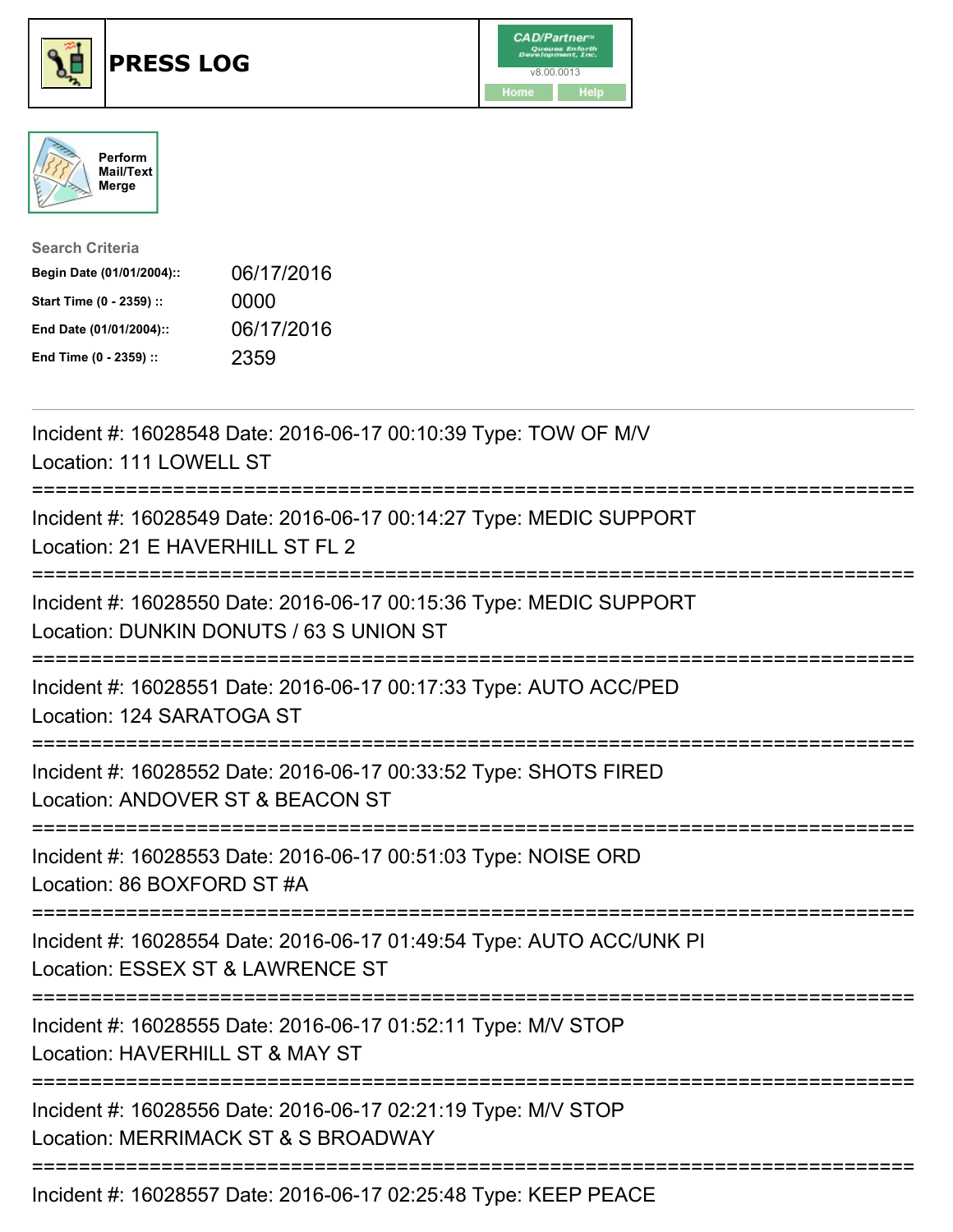

## **PRESS LOG** v8.00.0013





| <b>Search Criteria</b>    |            |
|---------------------------|------------|
| Begin Date (01/01/2004):: | 06/17/2016 |
| Start Time (0 - 2359) ::  | 0000       |
| End Date (01/01/2004)::   | 06/17/2016 |
| End Time (0 - 2359) ::    | 2359       |

Incident #: 16028548 Date: 2016-06-17 00:10:39 Type: TOW OF M/V Location: 111 LOWELL ST =========================================================================== Incident #: 16028549 Date: 2016-06-17 00:14:27 Type: MEDIC SUPPORT Location: 21 E HAVERHILL ST FL 2 =========================================================================== Incident #: 16028550 Date: 2016-06-17 00:15:36 Type: MEDIC SUPPORT Location: DUNKIN DONUTS / 63 S UNION ST =========================================================================== Incident #: 16028551 Date: 2016-06-17 00:17:33 Type: AUTO ACC/PED Location: 124 SARATOGA ST =========================================================================== Incident #: 16028552 Date: 2016-06-17 00:33:52 Type: SHOTS FIRED Location: ANDOVER ST & BEACON ST =========================================================================== Incident #: 16028553 Date: 2016-06-17 00:51:03 Type: NOISE ORD Location: 86 BOXFORD ST #A =========================================================================== Incident #: 16028554 Date: 2016-06-17 01:49:54 Type: AUTO ACC/UNK PI Location: ESSEX ST & LAWRENCE ST =========================================================================== Incident #: 16028555 Date: 2016-06-17 01:52:11 Type: M/V STOP Location: HAVERHILL ST & MAY ST =========================================================================== Incident #: 16028556 Date: 2016-06-17 02:21:19 Type: M/V STOP Location: MERRIMACK ST & S BROADWAY ===========================================================================

Incident #: 16028557 Date: 2016-06-17 02:25:48 Type: KEEP PEACE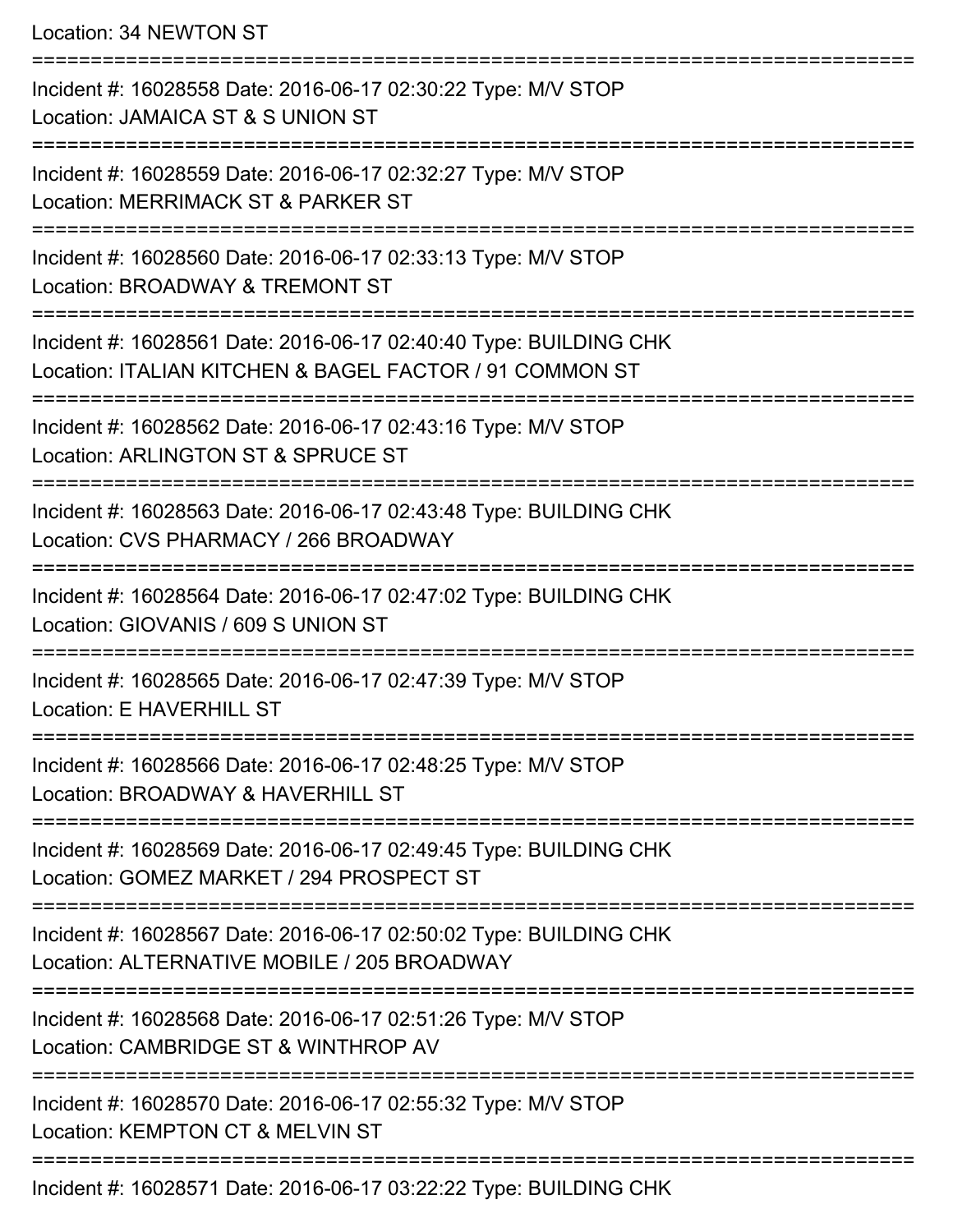Location: 34 NEWTON ST

| Incident #: 16028558 Date: 2016-06-17 02:30:22 Type: M/V STOP<br>Location: JAMAICA ST & S UNION ST                           |
|------------------------------------------------------------------------------------------------------------------------------|
| Incident #: 16028559 Date: 2016-06-17 02:32:27 Type: M/V STOP<br>Location: MERRIMACK ST & PARKER ST                          |
| Incident #: 16028560 Date: 2016-06-17 02:33:13 Type: M/V STOP<br>Location: BROADWAY & TREMONT ST                             |
| Incident #: 16028561 Date: 2016-06-17 02:40:40 Type: BUILDING CHK<br>Location: ITALIAN KITCHEN & BAGEL FACTOR / 91 COMMON ST |
| Incident #: 16028562 Date: 2016-06-17 02:43:16 Type: M/V STOP<br>Location: ARLINGTON ST & SPRUCE ST                          |
| Incident #: 16028563 Date: 2016-06-17 02:43:48 Type: BUILDING CHK<br>Location: CVS PHARMACY / 266 BROADWAY                   |
| Incident #: 16028564 Date: 2016-06-17 02:47:02 Type: BUILDING CHK<br>Location: GIOVANIS / 609 S UNION ST                     |
| Incident #: 16028565 Date: 2016-06-17 02:47:39 Type: M/V STOP<br>Location: E HAVERHILL ST                                    |
| Incident #: 16028566 Date: 2016-06-17 02:48:25 Type: M/V STOP<br>Location: BROADWAY & HAVERHILL ST                           |
| Incident #: 16028569 Date: 2016-06-17 02:49:45 Type: BUILDING CHK<br>Location: GOMEZ MARKET / 294 PROSPECT ST                |
| Incident #: 16028567 Date: 2016-06-17 02:50:02 Type: BUILDING CHK<br>Location: ALTERNATIVE MOBILE / 205 BROADWAY             |
| Incident #: 16028568 Date: 2016-06-17 02:51:26 Type: M/V STOP<br>Location: CAMBRIDGE ST & WINTHROP AV                        |
| Incident #: 16028570 Date: 2016-06-17 02:55:32 Type: M/V STOP<br>Location: KEMPTON CT & MELVIN ST                            |
| Incident #: 16028571 Date: 2016-06-17 03:22:22 Type: BUILDING CHK                                                            |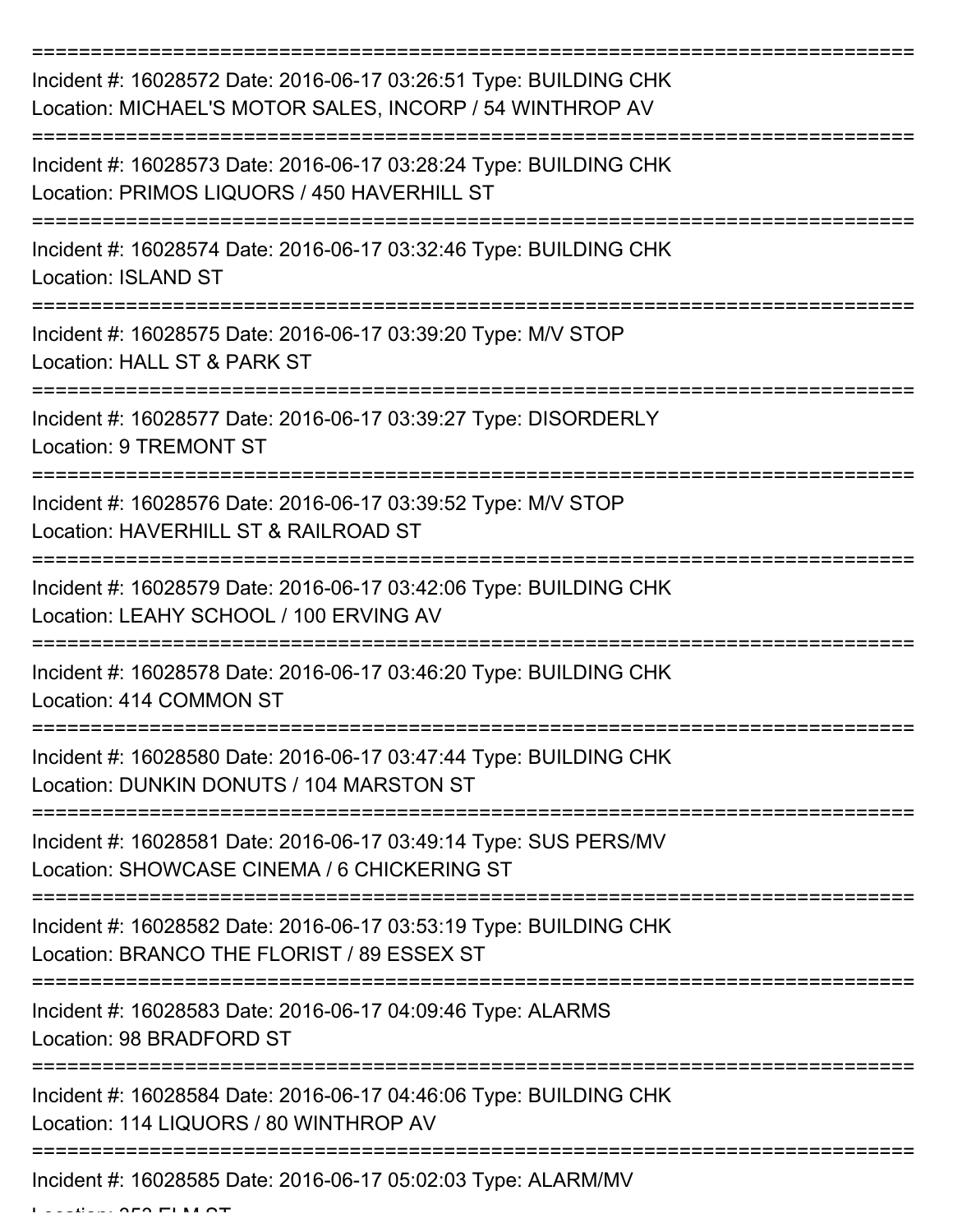| Incident #: 16028572 Date: 2016-06-17 03:26:51 Type: BUILDING CHK<br>Location: MICHAEL'S MOTOR SALES, INCORP / 54 WINTHROP AV |
|-------------------------------------------------------------------------------------------------------------------------------|
| Incident #: 16028573 Date: 2016-06-17 03:28:24 Type: BUILDING CHK<br>Location: PRIMOS LIQUORS / 450 HAVERHILL ST              |
| Incident #: 16028574 Date: 2016-06-17 03:32:46 Type: BUILDING CHK<br><b>Location: ISLAND ST</b>                               |
| Incident #: 16028575 Date: 2016-06-17 03:39:20 Type: M/V STOP<br>Location: HALL ST & PARK ST                                  |
| Incident #: 16028577 Date: 2016-06-17 03:39:27 Type: DISORDERLY<br><b>Location: 9 TREMONT ST</b>                              |
| Incident #: 16028576 Date: 2016-06-17 03:39:52 Type: M/V STOP<br>Location: HAVERHILL ST & RAILROAD ST                         |
| Incident #: 16028579 Date: 2016-06-17 03:42:06 Type: BUILDING CHK<br>Location: LEAHY SCHOOL / 100 ERVING AV                   |
| Incident #: 16028578 Date: 2016-06-17 03:46:20 Type: BUILDING CHK<br>Location: 414 COMMON ST                                  |
| Incident #: 16028580 Date: 2016-06-17 03:47:44 Type: BUILDING CHK<br>Location: DUNKIN DONUTS / 104 MARSTON ST                 |
| Incident #: 16028581 Date: 2016-06-17 03:49:14 Type: SUS PERS/MV<br>Location: SHOWCASE CINEMA / 6 CHICKERING ST               |
| Incident #: 16028582 Date: 2016-06-17 03:53:19 Type: BUILDING CHK<br>Location: BRANCO THE FLORIST / 89 ESSEX ST               |
| Incident #: 16028583 Date: 2016-06-17 04:09:46 Type: ALARMS<br>Location: 98 BRADFORD ST                                       |
| Incident #: 16028584 Date: 2016-06-17 04:46:06 Type: BUILDING CHK<br>Location: 114 LIQUORS / 80 WINTHROP AV                   |
| Incident #: 16028585 Date: 2016-06-17 05:02:03 Type: ALARM/MV                                                                 |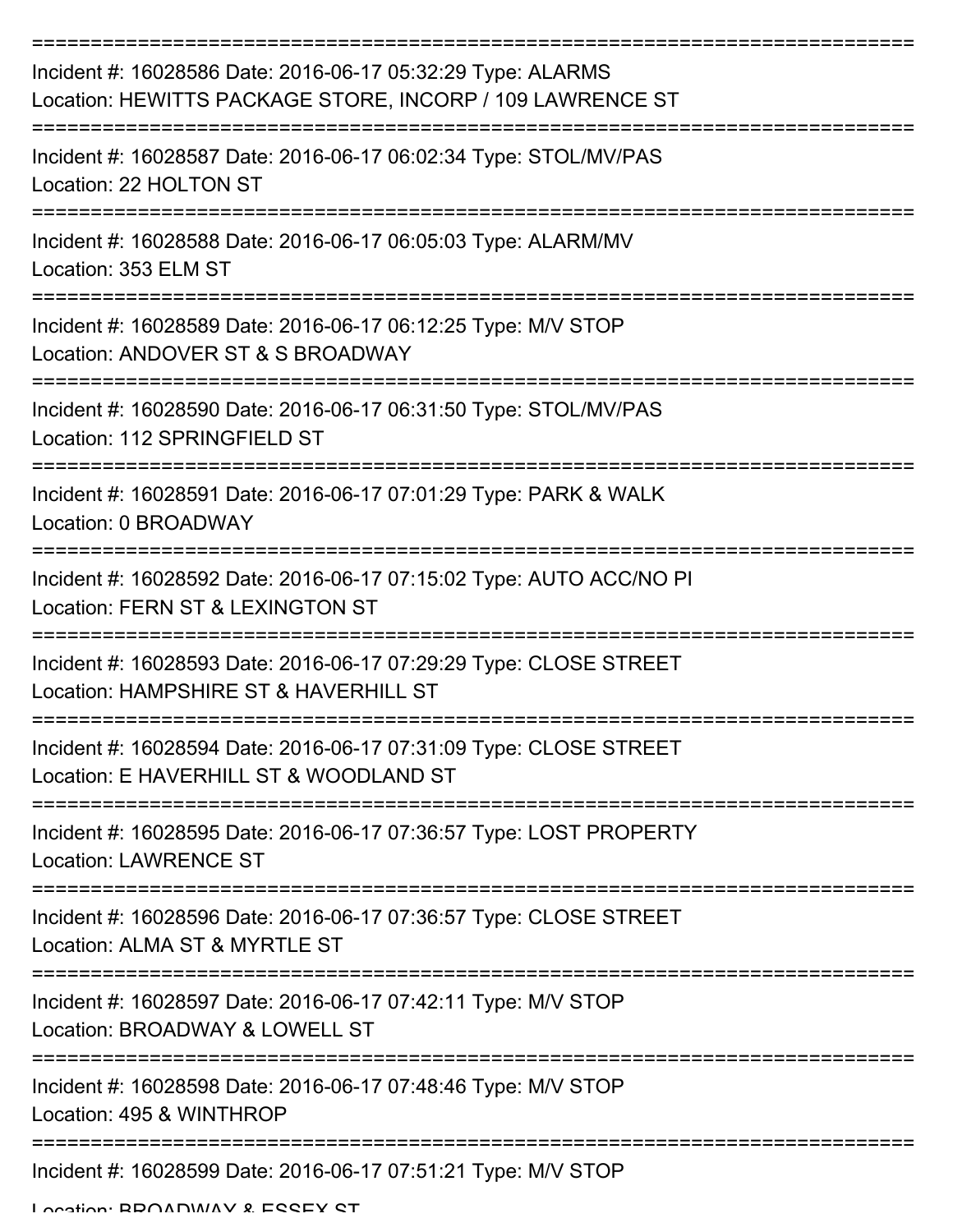| Incident #: 16028586 Date: 2016-06-17 05:32:29 Type: ALARMS<br>Location: HEWITTS PACKAGE STORE, INCORP / 109 LAWRENCE ST |
|--------------------------------------------------------------------------------------------------------------------------|
| Incident #: 16028587 Date: 2016-06-17 06:02:34 Type: STOL/MV/PAS<br>Location: 22 HOLTON ST                               |
| Incident #: 16028588 Date: 2016-06-17 06:05:03 Type: ALARM/MV<br>Location: 353 ELM ST                                    |
| Incident #: 16028589 Date: 2016-06-17 06:12:25 Type: M/V STOP<br>Location: ANDOVER ST & S BROADWAY                       |
| Incident #: 16028590 Date: 2016-06-17 06:31:50 Type: STOL/MV/PAS<br>Location: 112 SPRINGFIELD ST                         |
| ================<br>Incident #: 16028591 Date: 2016-06-17 07:01:29 Type: PARK & WALK<br>Location: 0 BROADWAY             |
| Incident #: 16028592 Date: 2016-06-17 07:15:02 Type: AUTO ACC/NO PI<br>Location: FERN ST & LEXINGTON ST                  |
| Incident #: 16028593 Date: 2016-06-17 07:29:29 Type: CLOSE STREET<br>Location: HAMPSHIRE ST & HAVERHILL ST               |
| Incident #: 16028594 Date: 2016-06-17 07:31:09 Type: CLOSE STREET<br>Location: E HAVERHILL ST & WOODLAND ST              |
| Incident #: 16028595 Date: 2016-06-17 07:36:57 Type: LOST PROPERTY<br><b>Location: LAWRENCE ST</b>                       |
| Incident #: 16028596 Date: 2016-06-17 07:36:57 Type: CLOSE STREET<br>Location: ALMA ST & MYRTLE ST                       |
| Incident #: 16028597 Date: 2016-06-17 07:42:11 Type: M/V STOP<br>Location: BROADWAY & LOWELL ST                          |
| Incident #: 16028598 Date: 2016-06-17 07:48:46 Type: M/V STOP<br>Location: 495 & WINTHROP                                |
| Incident #: 16028599 Date: 2016-06-17 07:51:21 Type: M/V STOP                                                            |

Location: BDOADWAY & ESSEY ST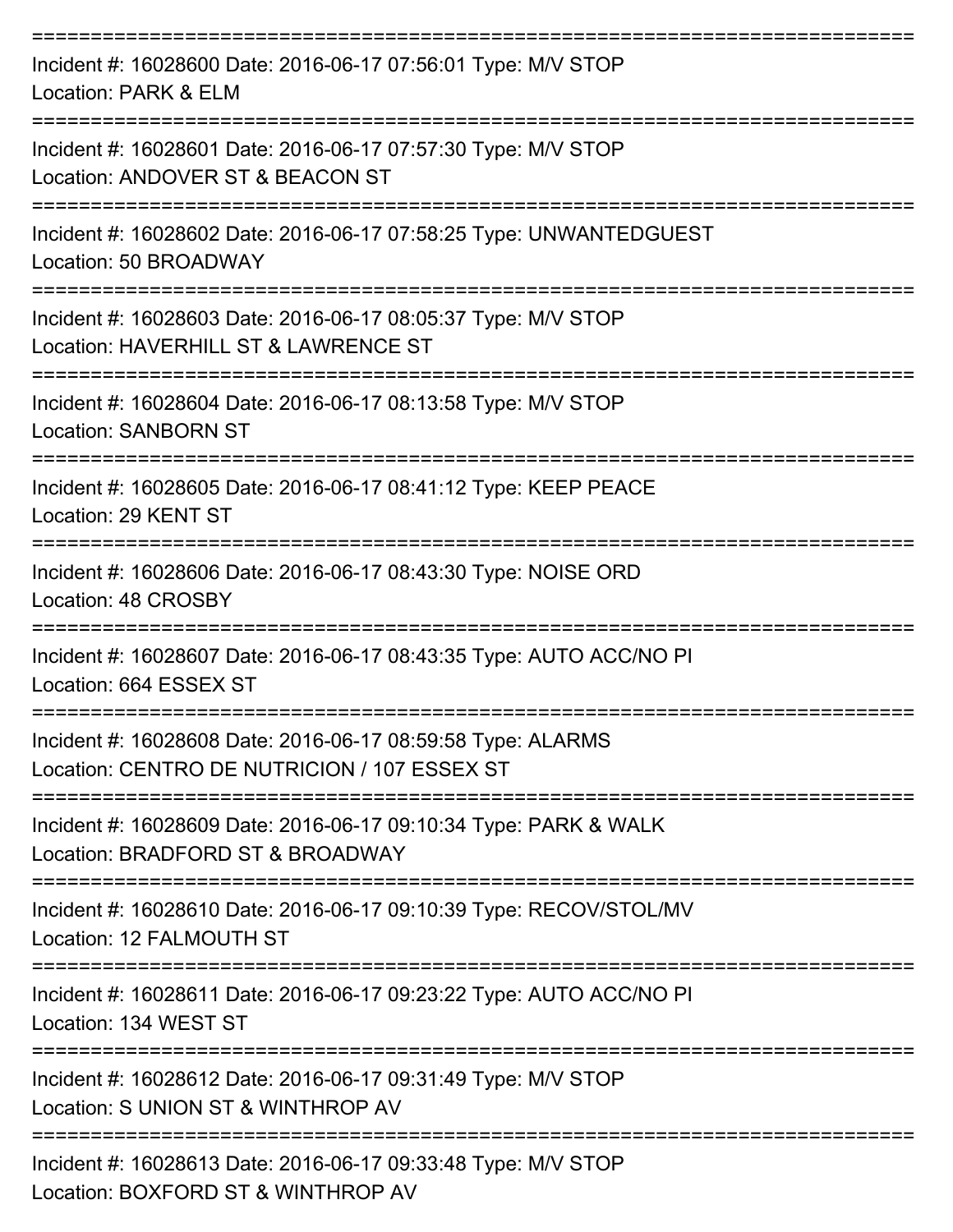| Incident #: 16028600 Date: 2016-06-17 07:56:01 Type: M/V STOP<br>Location: PARK & ELM                       |
|-------------------------------------------------------------------------------------------------------------|
| Incident #: 16028601 Date: 2016-06-17 07:57:30 Type: M/V STOP<br>Location: ANDOVER ST & BEACON ST           |
| Incident #: 16028602 Date: 2016-06-17 07:58:25 Type: UNWANTEDGUEST<br>Location: 50 BROADWAY                 |
| Incident #: 16028603 Date: 2016-06-17 08:05:37 Type: M/V STOP<br>Location: HAVERHILL ST & LAWRENCE ST       |
| Incident #: 16028604 Date: 2016-06-17 08:13:58 Type: M/V STOP<br><b>Location: SANBORN ST</b>                |
| Incident #: 16028605 Date: 2016-06-17 08:41:12 Type: KEEP PEACE<br>Location: 29 KENT ST                     |
| Incident #: 16028606 Date: 2016-06-17 08:43:30 Type: NOISE ORD<br>Location: 48 CROSBY                       |
| Incident #: 16028607 Date: 2016-06-17 08:43:35 Type: AUTO ACC/NO PI<br>Location: 664 ESSEX ST               |
| Incident #: 16028608 Date: 2016-06-17 08:59:58 Type: ALARMS<br>Location: CENTRO DE NUTRICION / 107 ESSEX ST |
| Incident #: 16028609 Date: 2016-06-17 09:10:34 Type: PARK & WALK<br>Location: BRADFORD ST & BROADWAY        |
| Incident #: 16028610 Date: 2016-06-17 09:10:39 Type: RECOV/STOL/MV<br>Location: 12 FALMOUTH ST              |
| Incident #: 16028611 Date: 2016-06-17 09:23:22 Type: AUTO ACC/NO PI<br>Location: 134 WEST ST                |
| Incident #: 16028612 Date: 2016-06-17 09:31:49 Type: M/V STOP<br>Location: S UNION ST & WINTHROP AV         |
| Incident #: 16028613 Date: 2016-06-17 09:33:48 Type: M/V STOP<br>Location: BOXFORD ST & WINTHROP AV         |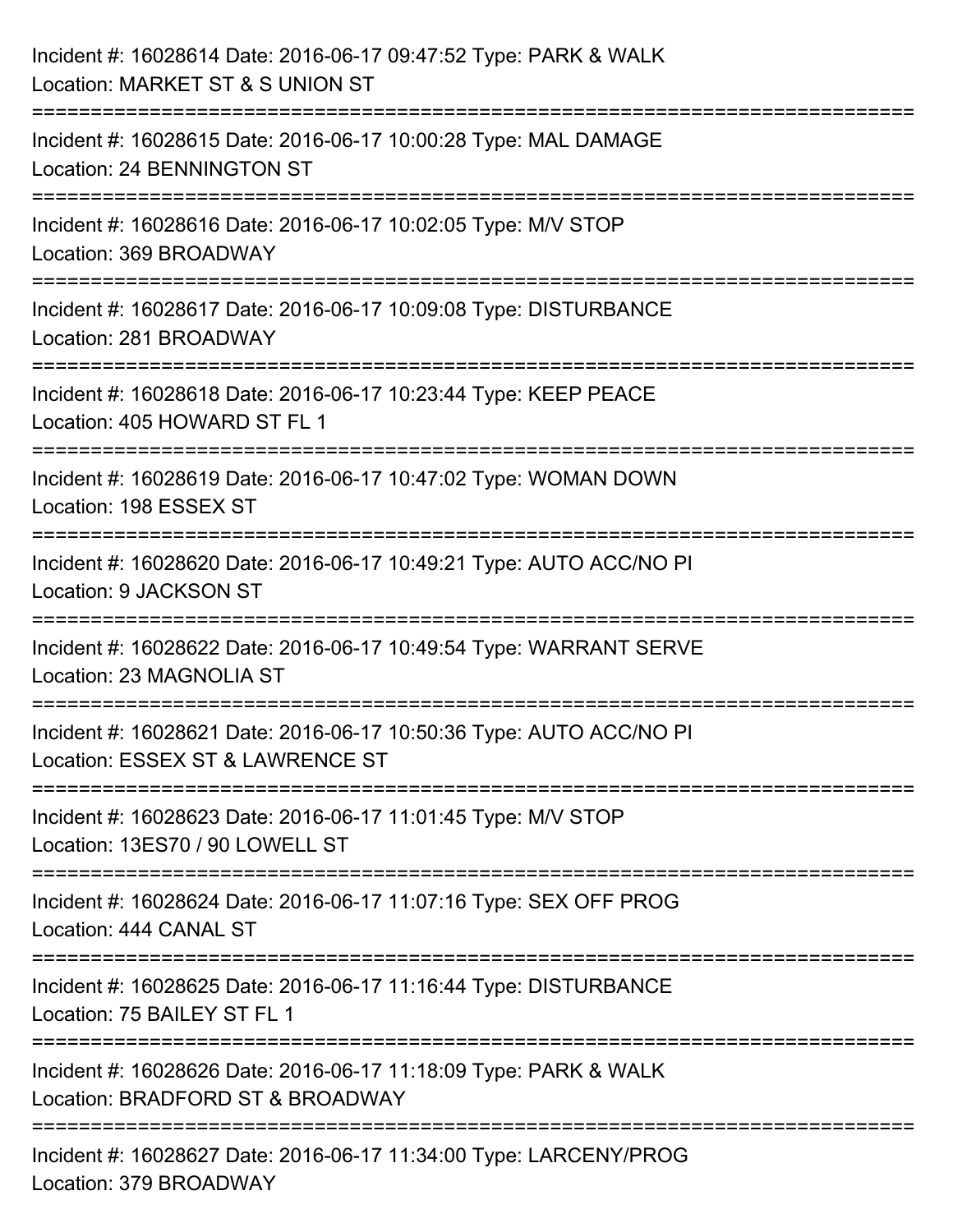| Incident #: 16028614 Date: 2016-06-17 09:47:52 Type: PARK & WALK<br>Location: MARKET ST & S UNION ST                                  |
|---------------------------------------------------------------------------------------------------------------------------------------|
| =========================<br>Incident #: 16028615 Date: 2016-06-17 10:00:28 Type: MAL DAMAGE<br>Location: 24 BENNINGTON ST            |
| Incident #: 16028616 Date: 2016-06-17 10:02:05 Type: M/V STOP<br>Location: 369 BROADWAY<br>==================================         |
| Incident #: 16028617 Date: 2016-06-17 10:09:08 Type: DISTURBANCE<br>Location: 281 BROADWAY                                            |
| Incident #: 16028618 Date: 2016-06-17 10:23:44 Type: KEEP PEACE<br>Location: 405 HOWARD ST FL 1<br>================================== |
| Incident #: 16028619 Date: 2016-06-17 10:47:02 Type: WOMAN DOWN<br>Location: 198 ESSEX ST                                             |
| Incident #: 16028620 Date: 2016-06-17 10:49:21 Type: AUTO ACC/NO PI<br>Location: 9 JACKSON ST                                         |
| Incident #: 16028622 Date: 2016-06-17 10:49:54 Type: WARRANT SERVE<br>Location: 23 MAGNOLIA ST                                        |
| Incident #: 16028621 Date: 2016-06-17 10:50:36 Type: AUTO ACC/NO PI<br>Location: ESSEX ST & LAWRENCE ST                               |
| Incident #: 16028623 Date: 2016-06-17 11:01:45 Type: M/V STOP<br>Location: 13ES70 / 90 LOWELL ST                                      |
| Incident #: 16028624 Date: 2016-06-17 11:07:16 Type: SEX OFF PROG<br>Location: 444 CANAL ST                                           |
| Incident #: 16028625 Date: 2016-06-17 11:16:44 Type: DISTURBANCE<br>Location: 75 BAILEY ST FL 1                                       |
| Incident #: 16028626 Date: 2016-06-17 11:18:09 Type: PARK & WALK<br>Location: BRADFORD ST & BROADWAY                                  |
| Incident #: 16028627 Date: 2016-06-17 11:34:00 Type: LARCENY/PROG<br>Location: 379 BROADWAY                                           |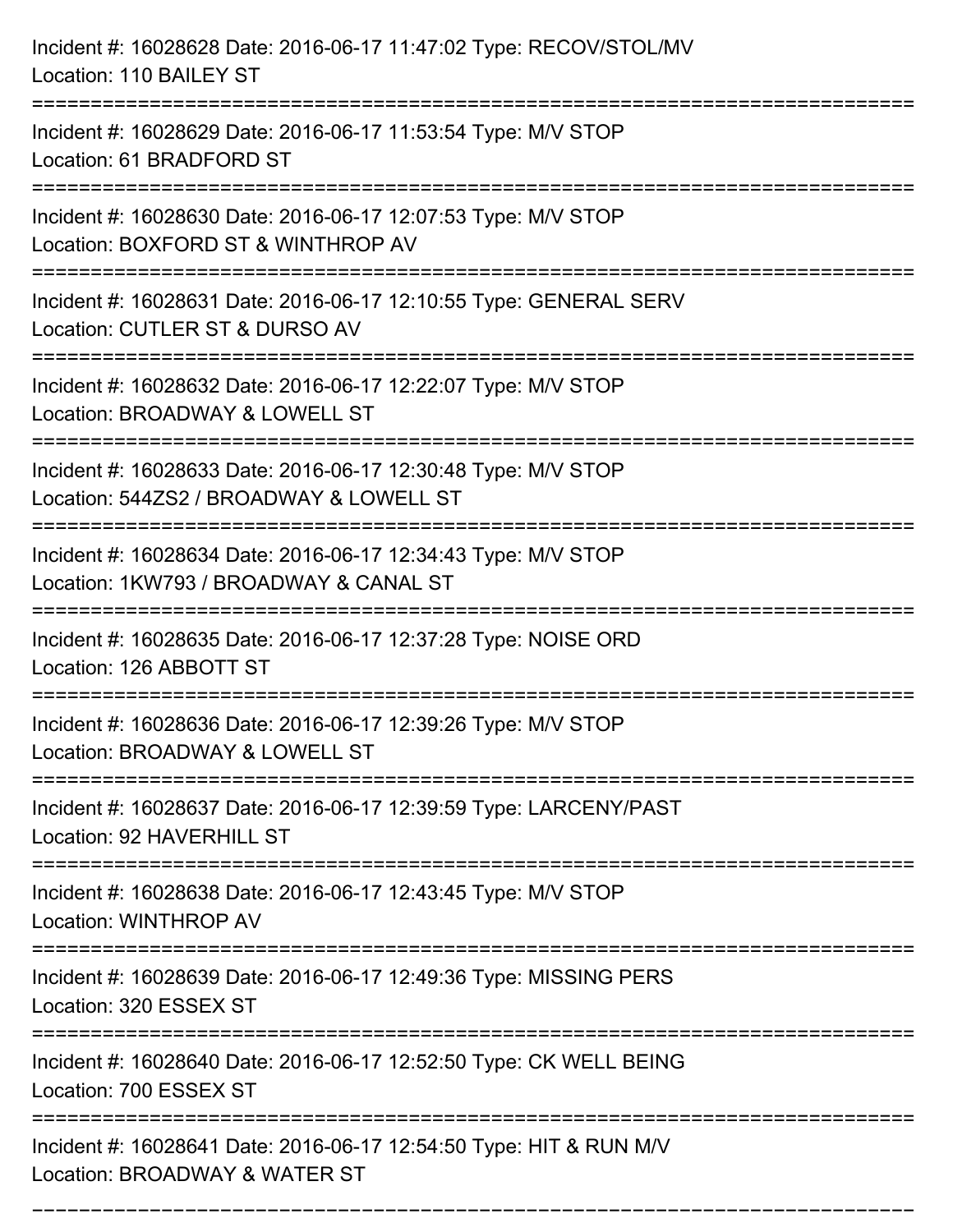| Incident #: 16028628 Date: 2016-06-17 11:47:02 Type: RECOV/STOL/MV<br>Location: 110 BAILEY ST                                                                           |
|-------------------------------------------------------------------------------------------------------------------------------------------------------------------------|
| Incident #: 16028629 Date: 2016-06-17 11:53:54 Type: M/V STOP<br>Location: 61 BRADFORD ST                                                                               |
| Incident #: 16028630 Date: 2016-06-17 12:07:53 Type: M/V STOP<br>Location: BOXFORD ST & WINTHROP AV                                                                     |
| Incident #: 16028631 Date: 2016-06-17 12:10:55 Type: GENERAL SERV<br>Location: CUTLER ST & DURSO AV<br>========================<br>------------------------------------ |
| Incident #: 16028632 Date: 2016-06-17 12:22:07 Type: M/V STOP<br>Location: BROADWAY & LOWELL ST                                                                         |
| Incident #: 16028633 Date: 2016-06-17 12:30:48 Type: M/V STOP<br>Location: 544ZS2 / BROADWAY & LOWELL ST                                                                |
| :========================<br>Incident #: 16028634 Date: 2016-06-17 12:34:43 Type: M/V STOP<br>Location: 1KW793 / BROADWAY & CANAL ST                                    |
| Incident #: 16028635 Date: 2016-06-17 12:37:28 Type: NOISE ORD<br>Location: 126 ABBOTT ST                                                                               |
| Incident #: 16028636 Date: 2016-06-17 12:39:26 Type: M/V STOP<br>Location: BROADWAY & LOWELL ST                                                                         |
| Incident #: 16028637 Date: 2016-06-17 12:39:59 Type: LARCENY/PAST<br>Location: 92 HAVERHILL ST                                                                          |
| Incident #: 16028638 Date: 2016-06-17 12:43:45 Type: M/V STOP<br>Location: WINTHROP AV                                                                                  |
| Incident #: 16028639 Date: 2016-06-17 12:49:36 Type: MISSING PERS<br>Location: 320 ESSEX ST                                                                             |
| Incident #: 16028640 Date: 2016-06-17 12:52:50 Type: CK WELL BEING<br>Location: 700 ESSEX ST                                                                            |
| Incident #: 16028641 Date: 2016-06-17 12:54:50 Type: HIT & RUN M/V<br>Location: BROADWAY & WATER ST                                                                     |

===========================================================================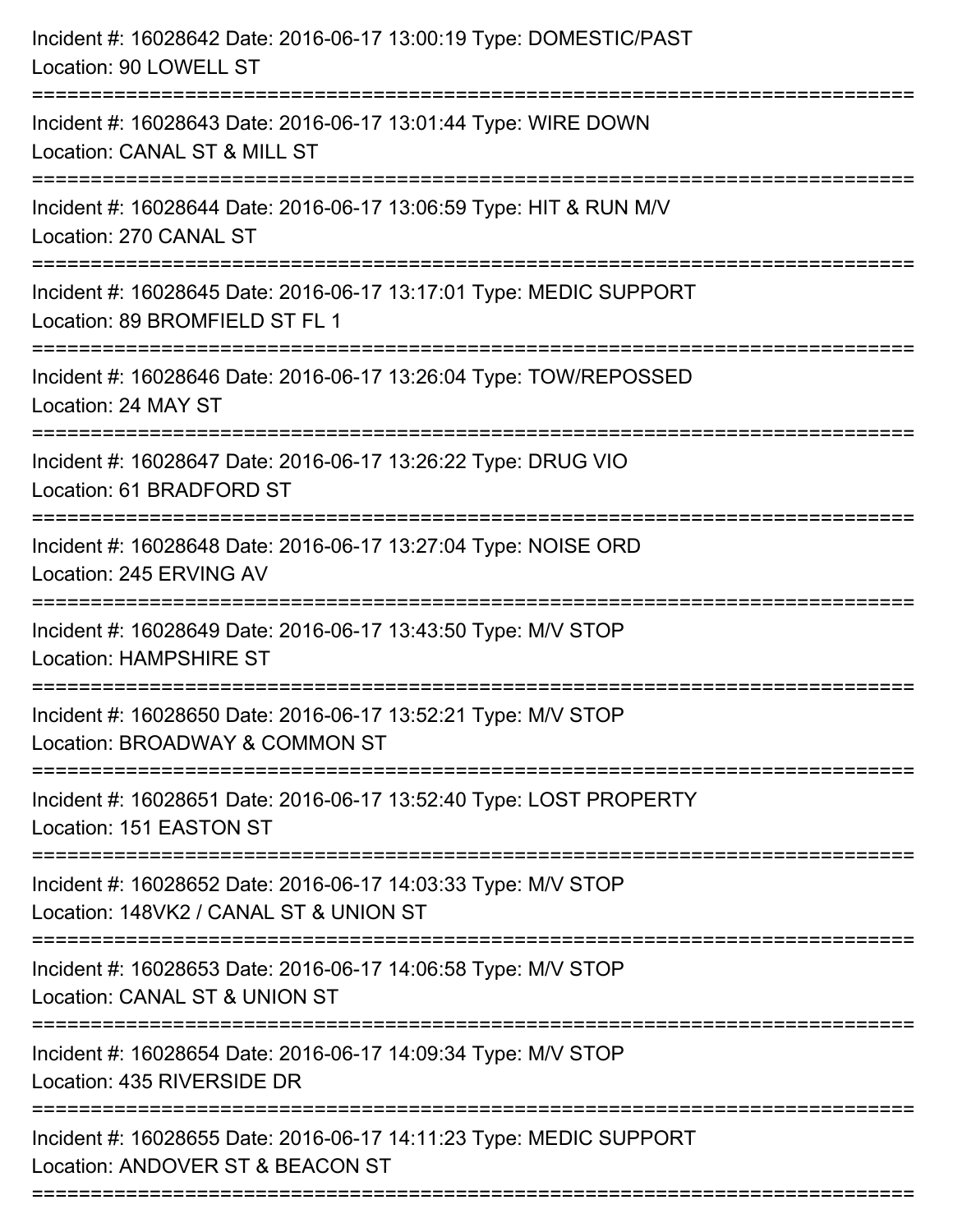| Incident #: 16028642 Date: 2016-06-17 13:00:19 Type: DOMESTIC/PAST<br>Location: 90 LOWELL ST                                                                   |
|----------------------------------------------------------------------------------------------------------------------------------------------------------------|
| Incident #: 16028643 Date: 2016-06-17 13:01:44 Type: WIRE DOWN<br>Location: CANAL ST & MILL ST                                                                 |
| Incident #: 16028644 Date: 2016-06-17 13:06:59 Type: HIT & RUN M/V<br>Location: 270 CANAL ST                                                                   |
| Incident #: 16028645 Date: 2016-06-17 13:17:01 Type: MEDIC SUPPORT<br>Location: 89 BROMFIELD ST FL 1                                                           |
| Incident #: 16028646 Date: 2016-06-17 13:26:04 Type: TOW/REPOSSED<br>Location: 24 MAY ST<br>---------------------------------<br>============================= |
| Incident #: 16028647 Date: 2016-06-17 13:26:22 Type: DRUG VIO<br>Location: 61 BRADFORD ST                                                                      |
| Incident #: 16028648 Date: 2016-06-17 13:27:04 Type: NOISE ORD<br>Location: 245 ERVING AV<br>====================================                              |
| Incident #: 16028649 Date: 2016-06-17 13:43:50 Type: M/V STOP<br><b>Location: HAMPSHIRE ST</b>                                                                 |
| Incident #: 16028650 Date: 2016-06-17 13:52:21 Type: M/V STOP<br>Location: BROADWAY & COMMON ST                                                                |
| Incident #: 16028651 Date: 2016-06-17 13:52:40 Type: LOST PROPERTY<br>Location: 151 EASTON ST                                                                  |
| Incident #: 16028652 Date: 2016-06-17 14:03:33 Type: M/V STOP<br>Location: 148VK2 / CANAL ST & UNION ST                                                        |
| :=====================<br>Incident #: 16028653 Date: 2016-06-17 14:06:58 Type: M/V STOP<br>Location: CANAL ST & UNION ST                                       |
| Incident #: 16028654 Date: 2016-06-17 14:09:34 Type: M/V STOP<br>Location: 435 RIVERSIDE DR                                                                    |
| Incident #: 16028655 Date: 2016-06-17 14:11:23 Type: MEDIC SUPPORT<br>Location: ANDOVER ST & BEACON ST                                                         |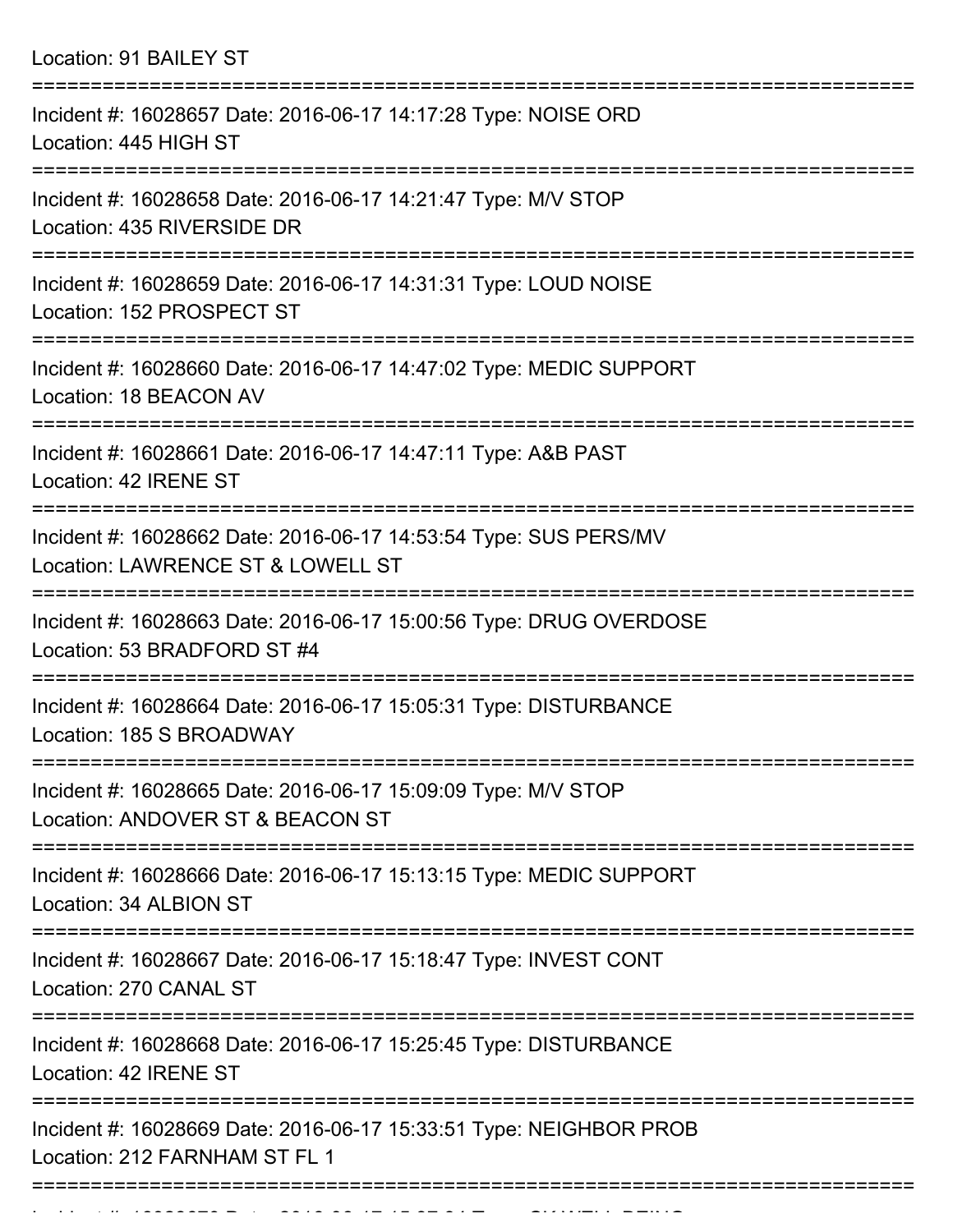| Location: 91 BAILEY ST |  |  |  |  |
|------------------------|--|--|--|--|
|------------------------|--|--|--|--|

| Incident #: 16028657 Date: 2016-06-17 14:17:28 Type: NOISE ORD<br>Location: 445 HIGH ST               |
|-------------------------------------------------------------------------------------------------------|
| Incident #: 16028658 Date: 2016-06-17 14:21:47 Type: M/V STOP<br>Location: 435 RIVERSIDE DR           |
| Incident #: 16028659 Date: 2016-06-17 14:31:31 Type: LOUD NOISE<br>Location: 152 PROSPECT ST          |
| Incident #: 16028660 Date: 2016-06-17 14:47:02 Type: MEDIC SUPPORT<br>Location: 18 BEACON AV          |
| Incident #: 16028661 Date: 2016-06-17 14:47:11 Type: A&B PAST<br>Location: 42 IRENE ST                |
| Incident #: 16028662 Date: 2016-06-17 14:53:54 Type: SUS PERS/MV<br>Location: LAWRENCE ST & LOWELL ST |
| Incident #: 16028663 Date: 2016-06-17 15:00:56 Type: DRUG OVERDOSE<br>Location: 53 BRADFORD ST #4     |
| Incident #: 16028664 Date: 2016-06-17 15:05:31 Type: DISTURBANCE<br>Location: 185 S BROADWAY          |
| Incident #: 16028665 Date: 2016-06-17 15:09:09 Type: M/V STOP<br>Location: ANDOVER ST & BEACON ST     |
| Incident #: 16028666 Date: 2016-06-17 15:13:15 Type: MEDIC SUPPORT<br>Location: 34 ALBION ST          |
| Incident #: 16028667 Date: 2016-06-17 15:18:47 Type: INVEST CONT<br>Location: 270 CANAL ST            |
| Incident #: 16028668 Date: 2016-06-17 15:25:45 Type: DISTURBANCE<br>Location: 42 IRENE ST             |
| Incident #: 16028669 Date: 2016-06-17 15:33:51 Type: NEIGHBOR PROB<br>Location: 212 FARNHAM ST FL 1   |
|                                                                                                       |

Incident #: 16028670 Date: 2016 06 17 15:37:34 Type: CK WELL BEING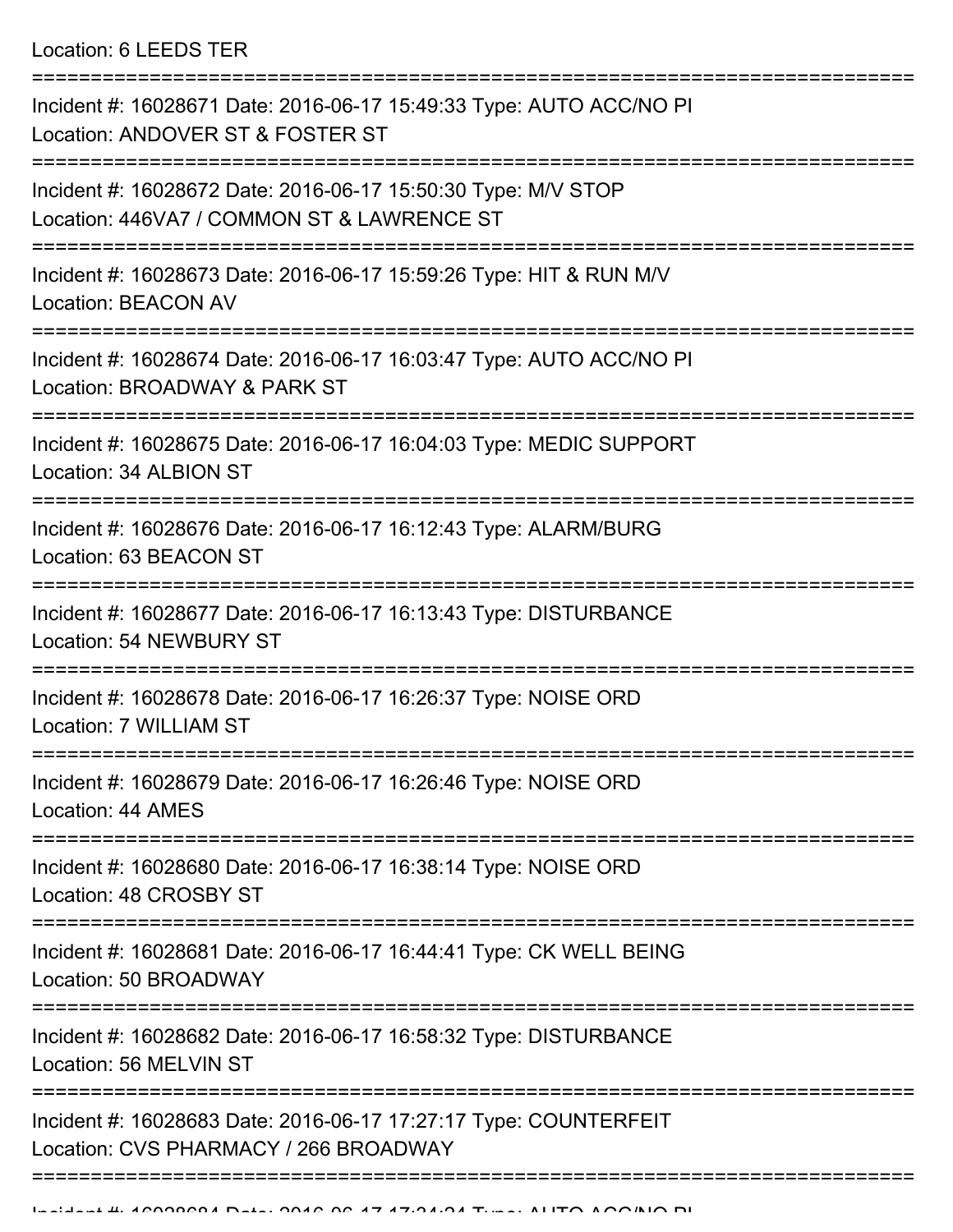| Incident #: 16028671 Date: 2016-06-17 15:49:33 Type: AUTO ACC/NO PI<br>Location: ANDOVER ST & FOSTER ST     |
|-------------------------------------------------------------------------------------------------------------|
| Incident #: 16028672 Date: 2016-06-17 15:50:30 Type: M/V STOP<br>Location: 446VA7 / COMMON ST & LAWRENCE ST |
| Incident #: 16028673 Date: 2016-06-17 15:59:26 Type: HIT & RUN M/V<br><b>Location: BEACON AV</b>            |
| Incident #: 16028674 Date: 2016-06-17 16:03:47 Type: AUTO ACC/NO PI<br>Location: BROADWAY & PARK ST         |
| Incident #: 16028675 Date: 2016-06-17 16:04:03 Type: MEDIC SUPPORT<br>Location: 34 ALBION ST                |
| Incident #: 16028676 Date: 2016-06-17 16:12:43 Type: ALARM/BURG<br>Location: 63 BEACON ST                   |
| Incident #: 16028677 Date: 2016-06-17 16:13:43 Type: DISTURBANCE<br><b>Location: 54 NEWBURY ST</b>          |
| Incident #: 16028678 Date: 2016-06-17 16:26:37 Type: NOISE ORD<br>Location: 7 WILLIAM ST                    |
| Incident #: 16028679 Date: 2016-06-17 16:26:46 Type: NOISE ORD<br>Location: 44 AMES                         |
| Incident #: 16028680 Date: 2016-06-17 16:38:14 Type: NOISE ORD<br>Location: 48 CROSBY ST                    |
| Incident #: 16028681 Date: 2016-06-17 16:44:41 Type: CK WELL BEING<br>Location: 50 BROADWAY                 |
| Incident #: 16028682 Date: 2016-06-17 16:58:32 Type: DISTURBANCE<br>Location: 56 MELVIN ST                  |
| Incident #: 16028683 Date: 2016-06-17 17:27:17 Type: COUNTERFEIT<br>Location: CVS PHARMACY / 266 BROADWAY   |
|                                                                                                             |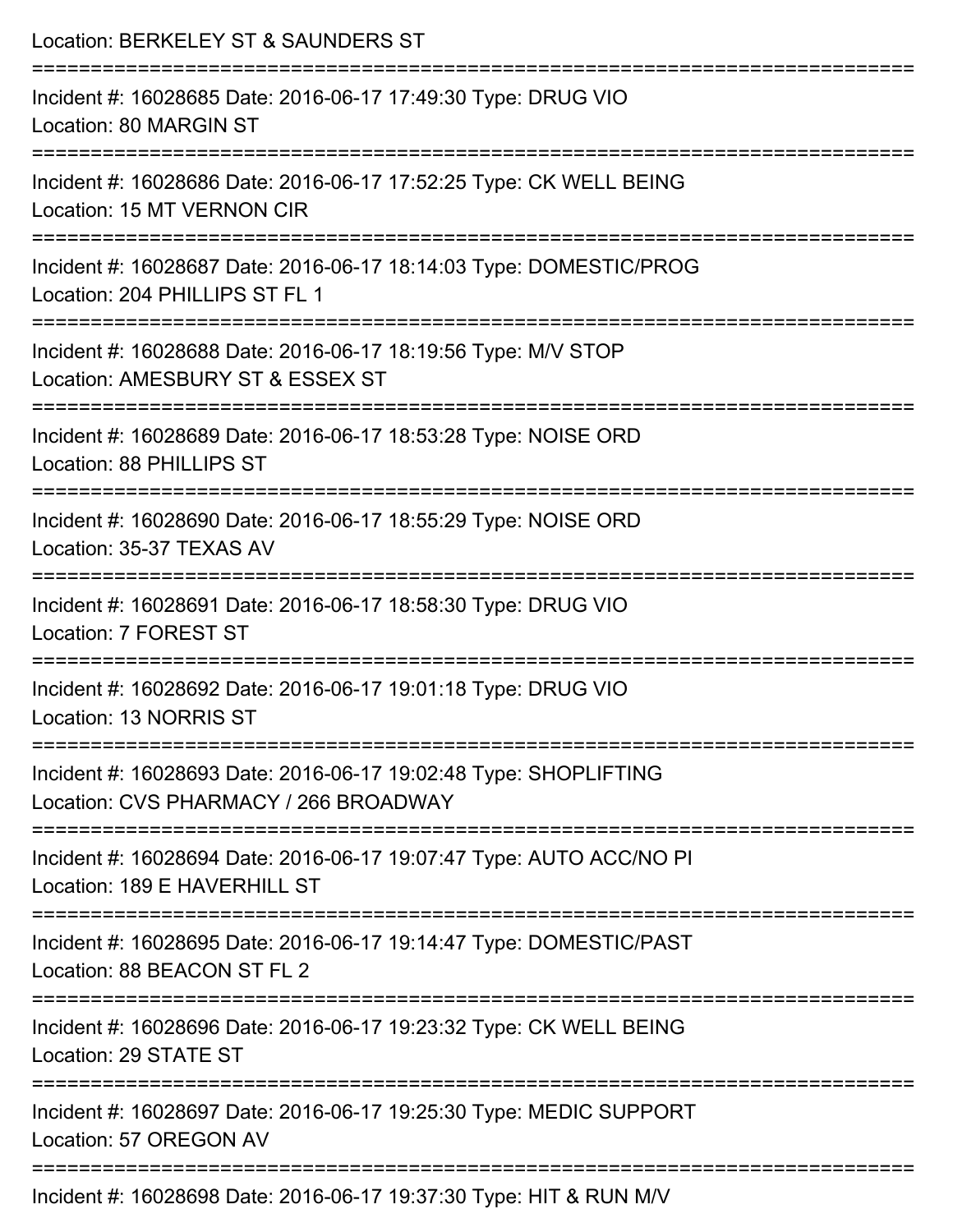| Location: BERKELEY ST & SAUNDERS ST                                                                       |
|-----------------------------------------------------------------------------------------------------------|
| Incident #: 16028685 Date: 2016-06-17 17:49:30 Type: DRUG VIO<br>Location: 80 MARGIN ST                   |
| Incident #: 16028686 Date: 2016-06-17 17:52:25 Type: CK WELL BEING<br>Location: 15 MT VERNON CIR          |
| Incident #: 16028687 Date: 2016-06-17 18:14:03 Type: DOMESTIC/PROG<br>Location: 204 PHILLIPS ST FL 1      |
| Incident #: 16028688 Date: 2016-06-17 18:19:56 Type: M/V STOP<br>Location: AMESBURY ST & ESSEX ST         |
| Incident #: 16028689 Date: 2016-06-17 18:53:28 Type: NOISE ORD<br>Location: 88 PHILLIPS ST                |
| Incident #: 16028690 Date: 2016-06-17 18:55:29 Type: NOISE ORD<br>Location: 35-37 TEXAS AV                |
| Incident #: 16028691 Date: 2016-06-17 18:58:30 Type: DRUG VIO<br>Location: 7 FOREST ST                    |
| Incident #: 16028692 Date: 2016-06-17 19:01:18 Type: DRUG VIO<br>Location: 13 NORRIS ST                   |
| Incident #: 16028693 Date: 2016-06-17 19:02:48 Type: SHOPLIFTING<br>Location: CVS PHARMACY / 266 BROADWAY |
| Incident #: 16028694 Date: 2016-06-17 19:07:47 Type: AUTO ACC/NO PI<br>Location: 189 E HAVERHILL ST       |
| Incident #: 16028695 Date: 2016-06-17 19:14:47 Type: DOMESTIC/PAST<br>Location: 88 BEACON ST FL 2         |
| Incident #: 16028696 Date: 2016-06-17 19:23:32 Type: CK WELL BEING<br>Location: 29 STATE ST               |
| Incident #: 16028697 Date: 2016-06-17 19:25:30 Type: MEDIC SUPPORT<br>Location: 57 OREGON AV              |
| $Incidont + 16029609$ Data: $2016$ 06 17 10:27:20 $Two:$ UIT $9$ DUN MAI                                  |

Incident #: 16028698 Date: 2016-06-17 19:37:30 Type: HIT & RUN M/V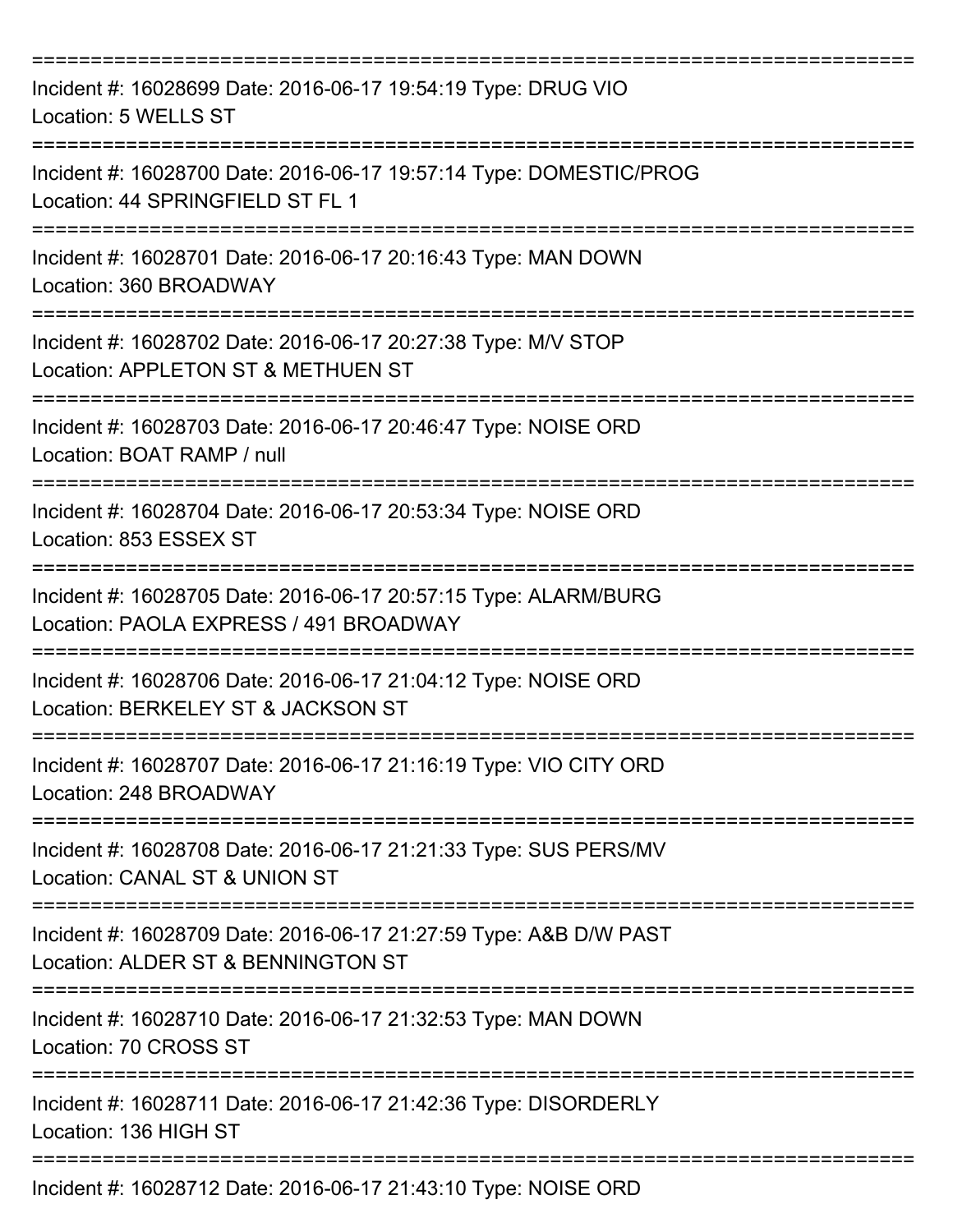| Incident #: 16028699 Date: 2016-06-17 19:54:19 Type: DRUG VIO<br>Location: 5 WELLS ST                                             |
|-----------------------------------------------------------------------------------------------------------------------------------|
| Incident #: 16028700 Date: 2016-06-17 19:57:14 Type: DOMESTIC/PROG<br>Location: 44 SPRINGFIELD ST FL 1                            |
| Incident #: 16028701 Date: 2016-06-17 20:16:43 Type: MAN DOWN<br>Location: 360 BROADWAY                                           |
| Incident #: 16028702 Date: 2016-06-17 20:27:38 Type: M/V STOP<br>Location: APPLETON ST & METHUEN ST                               |
| Incident #: 16028703 Date: 2016-06-17 20:46:47 Type: NOISE ORD<br>Location: BOAT RAMP / null<br>================================= |
| Incident #: 16028704 Date: 2016-06-17 20:53:34 Type: NOISE ORD<br>Location: 853 ESSEX ST                                          |
| Incident #: 16028705 Date: 2016-06-17 20:57:15 Type: ALARM/BURG<br>Location: PAOLA EXPRESS / 491 BROADWAY                         |
| Incident #: 16028706 Date: 2016-06-17 21:04:12 Type: NOISE ORD<br>Location: BERKELEY ST & JACKSON ST                              |
| Incident #: 16028707 Date: 2016-06-17 21:16:19 Type: VIO CITY ORD<br>Location: 248 BROADWAY                                       |
| Incident #: 16028708 Date: 2016-06-17 21:21:33 Type: SUS PERS/MV<br>Location: CANAL ST & UNION ST                                 |
| Incident #: 16028709 Date: 2016-06-17 21:27:59 Type: A&B D/W PAST<br>Location: ALDER ST & BENNINGTON ST                           |
| Incident #: 16028710 Date: 2016-06-17 21:32:53 Type: MAN DOWN<br>Location: 70 CROSS ST                                            |
| Incident #: 16028711 Date: 2016-06-17 21:42:36 Type: DISORDERLY<br>Location: 136 HIGH ST                                          |
| Incident #: 16028712 Date: 2016-06-17 21:43:10 Type: NOISE ORD                                                                    |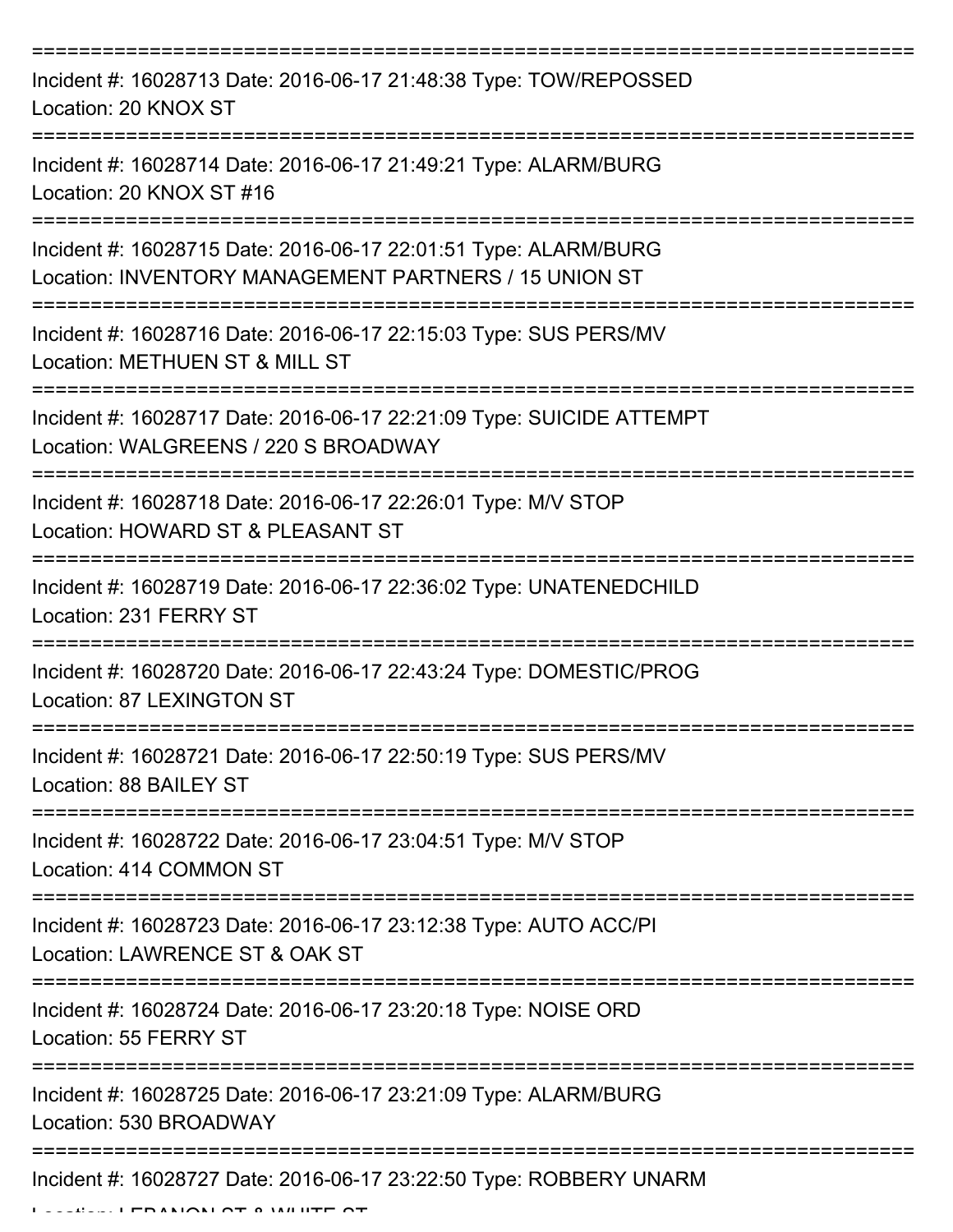| Incident #: 16028713 Date: 2016-06-17 21:48:38 Type: TOW/REPOSSED<br>Location: 20 KNOX ST                                |
|--------------------------------------------------------------------------------------------------------------------------|
| Incident #: 16028714 Date: 2016-06-17 21:49:21 Type: ALARM/BURG<br>Location: 20 KNOX ST #16                              |
| Incident #: 16028715 Date: 2016-06-17 22:01:51 Type: ALARM/BURG<br>Location: INVENTORY MANAGEMENT PARTNERS / 15 UNION ST |
| Incident #: 16028716 Date: 2016-06-17 22:15:03 Type: SUS PERS/MV<br>Location: METHUEN ST & MILL ST                       |
| Incident #: 16028717 Date: 2016-06-17 22:21:09 Type: SUICIDE ATTEMPT<br>Location: WALGREENS / 220 S BROADWAY             |
| Incident #: 16028718 Date: 2016-06-17 22:26:01 Type: M/V STOP<br>Location: HOWARD ST & PLEASANT ST                       |
| Incident #: 16028719 Date: 2016-06-17 22:36:02 Type: UNATENEDCHILD<br>Location: 231 FERRY ST                             |
| Incident #: 16028720 Date: 2016-06-17 22:43:24 Type: DOMESTIC/PROG<br>Location: 87 LEXINGTON ST                          |
| Incident #: 16028721 Date: 2016-06-17 22:50:19 Type: SUS PERS/MV<br>Location: 88 BAILEY ST                               |
| Incident #: 16028722 Date: 2016-06-17 23:04:51 Type: M/V STOP<br>Location: 414 COMMON ST                                 |
| Incident #: 16028723 Date: 2016-06-17 23:12:38 Type: AUTO ACC/PI<br>Location: LAWRENCE ST & OAK ST                       |
| Incident #: 16028724 Date: 2016-06-17 23:20:18 Type: NOISE ORD<br>Location: 55 FERRY ST                                  |
| Incident #: 16028725 Date: 2016-06-17 23:21:09 Type: ALARM/BURG<br>Location: 530 BROADWAY                                |
| Incident #: 16028727 Date: 2016-06-17 23:22:50 Type: ROBBERY UNARM                                                       |